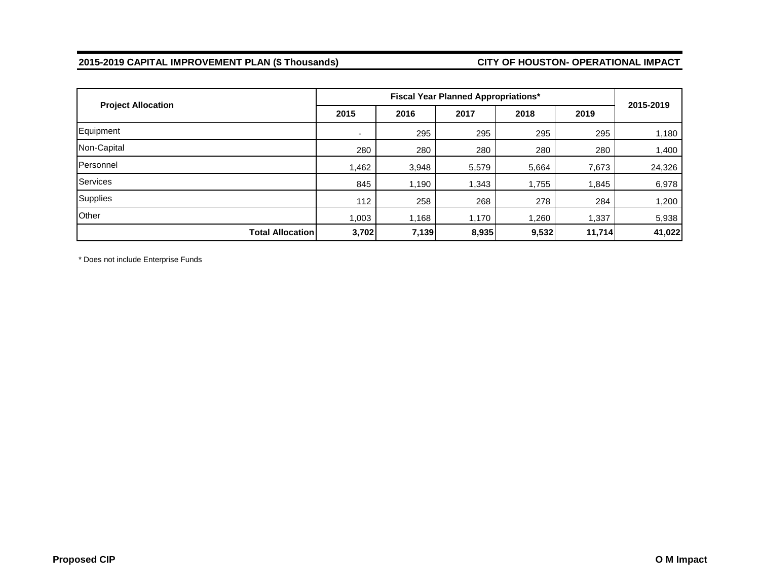# **2015-2019 CAPITAL IMPROVEMENT PLAN (\$ Thousands) CITY OF HOUSTON- OPERATIONAL IMPACT**

| <b>Project Allocation</b> |       | 2015-2019 |       |       |        |        |
|---------------------------|-------|-----------|-------|-------|--------|--------|
|                           | 2015  | 2016      | 2017  | 2018  | 2019   |        |
| Equipment                 | ۰     | 295       | 295   | 295   | 295    | 1,180  |
| Non-Capital               | 280   | 280       | 280   | 280   | 280    | 1,400  |
| Personnel                 | 1,462 | 3,948     | 5,579 | 5,664 | 7,673  | 24,326 |
| Services                  | 845   | 1,190     | 1,343 | 1,755 | 1,845  | 6,978  |
| Supplies                  | 112   | 258       | 268   | 278   | 284    | 1,200  |
| Other                     | 1,003 | 1,168     | 1,170 | 1,260 | 1,337  | 5,938  |
| <b>Total Allocation</b>   | 3,702 | 7,139     | 8,935 | 9,532 | 11,714 | 41,022 |

\* Does not include Enterprise Funds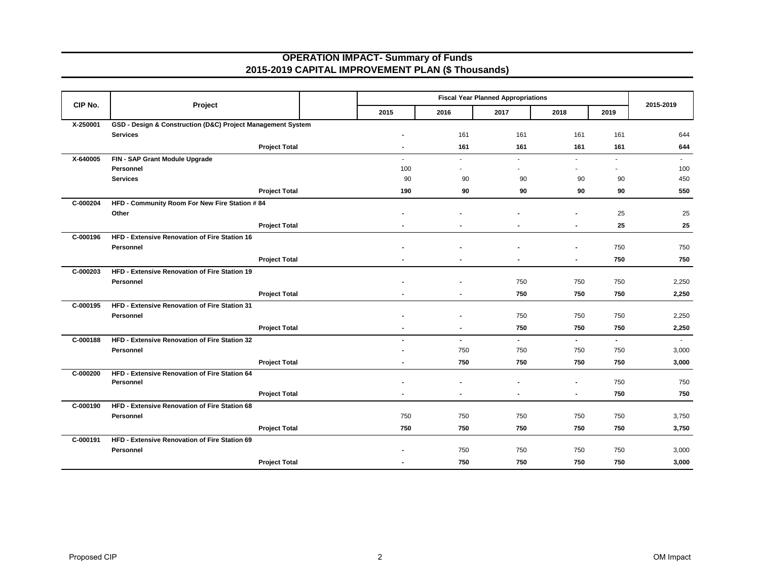### **OPERATION IMPACT- Summary of Funds 2015-2019 CAPITAL IMPROVEMENT PLAN (\$ Thousands)**

| CIP No.  | Project                                                     |      |                |                | 2015-2019                |        |                |        |
|----------|-------------------------------------------------------------|------|----------------|----------------|--------------------------|--------|----------------|--------|
|          |                                                             | 2015 | 2016           | 2017           | 2018                     | 2019   |                |        |
| X-250001 | GSD - Design & Construction (D&C) Project Management System |      |                |                |                          |        |                |        |
|          | <b>Services</b>                                             |      | $\blacksquare$ | 161            | 161                      | 161    | 161            | 644    |
|          | <b>Project Total</b>                                        |      | $\blacksquare$ | 161            | 161                      | 161    | 161            | 644    |
| X-640005 | FIN - SAP Grant Module Upgrade                              |      | ×.             | ÷.             | $\sim$                   | $\sim$ | $\sim$         | $\sim$ |
|          | Personnel                                                   |      | 100            |                | $\overline{\phantom{a}}$ |        |                | 100    |
|          | <b>Services</b>                                             |      | 90             | 90             | 90                       | 90     | 90             | 450    |
|          | <b>Project Total</b>                                        |      | 190            | 90             | 90                       | 90     | 90             | 550    |
| C-000204 | HFD - Community Room For New Fire Station # 84              |      |                |                |                          |        |                |        |
|          | Other                                                       |      |                |                |                          |        | 25             | 25     |
|          | <b>Project Total</b>                                        |      |                |                |                          |        | 25             | 25     |
| C-000196 | HFD - Extensive Renovation of Fire Station 16               |      |                |                |                          |        |                |        |
|          | Personnel                                                   |      |                |                |                          |        | 750            | 750    |
|          | <b>Project Total</b>                                        |      |                |                |                          |        | 750            | 750    |
| C-000203 | HFD - Extensive Renovation of Fire Station 19               |      |                |                |                          |        |                |        |
|          | Personnel                                                   |      |                |                | 750                      | 750    | 750            | 2,250  |
|          | <b>Project Total</b>                                        |      |                |                | 750                      | 750    | 750            | 2,250  |
| C-000195 | HFD - Extensive Renovation of Fire Station 31               |      |                |                |                          |        |                |        |
|          | Personnel                                                   |      |                |                | 750                      | 750    | 750            | 2,250  |
|          | <b>Project Total</b>                                        |      |                |                | 750                      | 750    | 750            | 2,250  |
| C-000188 | HFD - Extensive Renovation of Fire Station 32               |      | $\overline{a}$ | $\blacksquare$ | $\overline{\phantom{a}}$ | $\sim$ | $\blacksquare$ | $\sim$ |
|          | Personnel                                                   |      |                | 750            | 750                      | 750    | 750            | 3,000  |
|          | <b>Project Total</b>                                        |      |                | 750            | 750                      | 750    | 750            | 3,000  |
| C-000200 | HFD - Extensive Renovation of Fire Station 64               |      |                |                |                          |        |                |        |
|          | Personnel                                                   |      |                |                |                          |        | 750            | 750    |
|          | <b>Project Total</b>                                        |      |                | $\blacksquare$ | $\blacksquare$           |        | 750            | 750    |
| C-000190 | HFD - Extensive Renovation of Fire Station 68               |      |                |                |                          |        |                |        |
|          | Personnel                                                   |      | 750            | 750            | 750                      | 750    | 750            | 3,750  |
|          | <b>Project Total</b>                                        |      | 750            | 750            | 750                      | 750    | 750            | 3,750  |
| C-000191 | HFD - Extensive Renovation of Fire Station 69               |      |                |                |                          |        |                |        |
|          | Personnel                                                   |      |                | 750            | 750                      | 750    | 750            | 3,000  |
|          | <b>Project Total</b>                                        |      |                | 750            | 750                      | 750    | 750            | 3,000  |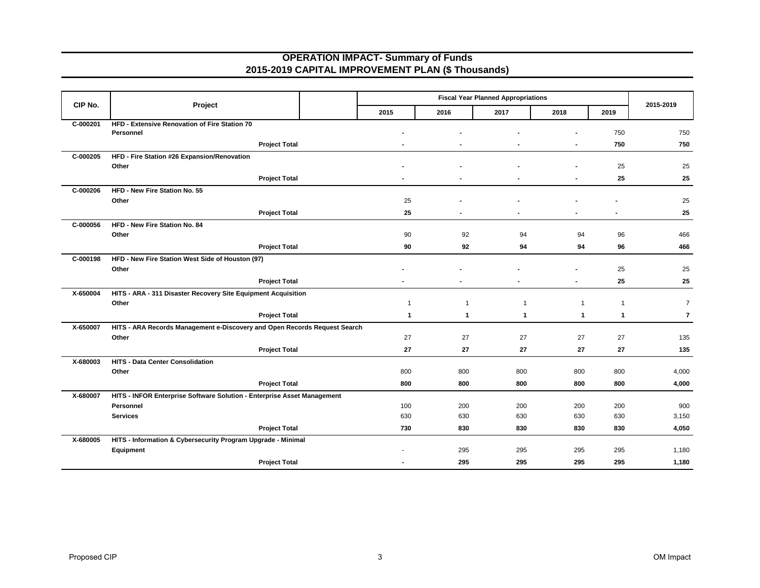### **OPERATION IMPACT- Summary of Funds 2015-2019 CAPITAL IMPROVEMENT PLAN (\$ Thousands)**

|          |                                                                           |              |             | <b>Fiscal Year Planned Appropriations</b> |              |              | 2015-2019      |
|----------|---------------------------------------------------------------------------|--------------|-------------|-------------------------------------------|--------------|--------------|----------------|
| CIP No.  | Project                                                                   | 2015         | 2016        | 2017                                      | 2018         | 2019         |                |
| C-000201 | HFD - Extensive Renovation of Fire Station 70<br>Personnel                |              |             |                                           |              | 750          | 750            |
|          | <b>Project Total</b>                                                      |              |             |                                           |              | 750          | 750            |
| C-000205 | HFD - Fire Station #26 Expansion/Renovation                               |              |             |                                           |              |              |                |
|          | Other                                                                     |              |             |                                           |              | 25           | 25             |
|          | <b>Project Total</b>                                                      |              |             |                                           |              | 25           | 25             |
| C-000206 | HFD - New Fire Station No. 55                                             |              |             |                                           |              |              |                |
|          | Other                                                                     | 25           |             |                                           |              |              | 25             |
|          | <b>Project Total</b>                                                      | 25           |             |                                           |              |              | 25             |
| C-000056 | HFD - New Fire Station No. 84                                             |              |             |                                           |              |              |                |
|          | Other                                                                     | 90           | 92          | 94                                        | 94           | 96           | 466            |
|          | <b>Project Total</b>                                                      | 90           | 92          | 94                                        | 94           | 96           | 466            |
| C-000198 | HFD - New Fire Station West Side of Houston (97)                          |              |             |                                           |              |              |                |
|          | Other                                                                     |              |             |                                           |              | 25           | 25             |
|          | <b>Project Total</b>                                                      |              |             |                                           |              | 25           | 25             |
| X-650004 | HITS - ARA - 311 Disaster Recovery Site Equipment Acquisition             |              |             |                                           |              |              |                |
|          | Other                                                                     | $\mathbf 1$  | $\mathbf 1$ | -1                                        | $\mathbf{1}$ | $\mathbf{1}$ | $\overline{7}$ |
|          | <b>Project Total</b>                                                      | $\mathbf{1}$ | 1           | $\mathbf{1}$                              | $\mathbf{1}$ | $\mathbf{1}$ | $\overline{7}$ |
| X-650007 | HITS - ARA Records Management e-Discovery and Open Records Request Search |              |             |                                           |              |              |                |
|          | Other                                                                     | 27           | 27          | 27                                        | 27           | 27           | 135            |
|          | <b>Project Total</b>                                                      | 27           | 27          | 27                                        | 27           | 27           | 135            |
| X-680003 | HITS - Data Center Consolidation                                          |              |             |                                           |              |              |                |
|          | Other                                                                     | 800          | 800         | 800                                       | 800          | 800          | 4,000          |
|          | <b>Project Total</b>                                                      | 800          | 800         | 800                                       | 800          | 800          | 4,000          |
| X-680007 | HITS - INFOR Enterprise Software Solution - Enterprise Asset Management   |              |             |                                           |              |              |                |
|          | Personnel                                                                 | 100          | 200         | 200                                       | 200          | 200          | 900            |
|          | <b>Services</b>                                                           | 630          | 630         | 630                                       | 630          | 630          | 3,150          |
|          | <b>Project Total</b>                                                      | 730          | 830         | 830                                       | 830          | 830          | 4,050          |
| X-680005 | HITS - Information & Cybersecurity Program Upgrade - Minimal              |              |             |                                           |              |              |                |
|          | Equipment                                                                 |              | 295         | 295                                       | 295          | 295          | 1,180          |
|          | <b>Project Total</b>                                                      |              | 295         | 295                                       | 295          | 295          | 1,180          |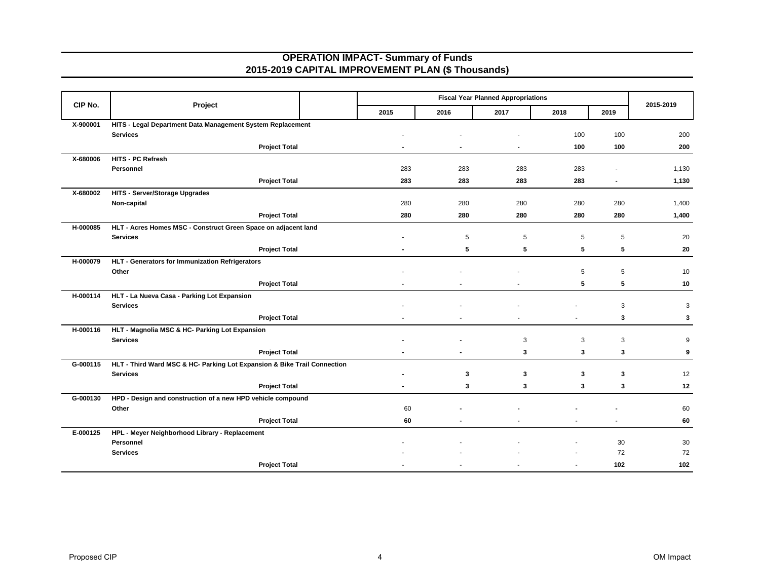## **OPERATION IMPACT- Summary of Funds 2015-2019 CAPITAL IMPROVEMENT PLAN (\$ Thousands)**

| CIP No.  |                                                                          | <b>Fiscal Year Planned Appropriations</b> |      |      |             |                | 2015-2019    |
|----------|--------------------------------------------------------------------------|-------------------------------------------|------|------|-------------|----------------|--------------|
|          | Project                                                                  | 2015                                      | 2016 | 2017 | 2018        | 2019           |              |
| X-900001 | HITS - Legal Department Data Management System Replacement               |                                           |      |      |             |                |              |
|          | <b>Services</b>                                                          |                                           |      |      | 100         | 100            | 200          |
|          | <b>Project Total</b>                                                     |                                           |      |      | 100         | 100            | 200          |
| X-680006 | HITS - PC Refresh                                                        |                                           |      |      |             |                |              |
|          | Personnel                                                                | 283                                       | 283  | 283  | 283         |                | 1,130        |
|          | <b>Project Total</b>                                                     | 283                                       | 283  | 283  | 283         | $\blacksquare$ | 1,130        |
| X-680002 | <b>HITS - Server/Storage Upgrades</b>                                    |                                           |      |      |             |                |              |
|          | Non-capital                                                              | 280                                       | 280  | 280  | 280         | 280            | 1,400        |
|          | <b>Project Total</b>                                                     | 280                                       | 280  | 280  | 280         | 280            | 1,400        |
| H-000085 | HLT - Acres Homes MSC - Construct Green Space on adjacent land           |                                           |      |      |             |                |              |
|          | <b>Services</b>                                                          |                                           | 5    | 5    | 5           | 5              | 20           |
|          | <b>Project Total</b>                                                     |                                           | 5    | 5    | 5           | 5              | 20           |
| H-000079 | HLT - Generators for Immunization Refrigerators                          |                                           |      |      |             |                |              |
|          | Other                                                                    |                                           |      |      | $\,$ 5 $\,$ | 5              | 10           |
|          | <b>Project Total</b>                                                     |                                           |      |      | 5           | 5              | 10           |
| H-000114 | HLT - La Nueva Casa - Parking Lot Expansion                              |                                           |      |      |             |                |              |
|          | <b>Services</b>                                                          |                                           |      |      |             | 3              | 3            |
|          | <b>Project Total</b>                                                     |                                           |      |      |             | 3              | $\mathbf{3}$ |
| H-000116 | HLT - Magnolia MSC & HC- Parking Lot Expansion                           |                                           |      |      |             |                |              |
|          | <b>Services</b>                                                          |                                           |      | 3    | 3           | 3              | 9            |
|          | <b>Project Total</b>                                                     |                                           |      | 3    | 3           | 3              | 9            |
| G-000115 | HLT - Third Ward MSC & HC- Parking Lot Expansion & Bike Trail Connection |                                           |      |      |             |                |              |
|          | <b>Services</b>                                                          |                                           | 3    | 3    | 3           | 3              | 12           |
|          | <b>Project Total</b>                                                     |                                           | 3    | 3    | 3           | 3              | 12           |
| G-000130 | HPD - Design and construction of a new HPD vehicle compound              |                                           |      |      |             |                |              |
|          | Other                                                                    | 60                                        |      |      |             |                | 60           |
|          | <b>Project Total</b>                                                     | 60                                        |      |      |             | $\blacksquare$ | 60           |
| E-000125 | HPL - Meyer Neighborhood Library - Replacement                           |                                           |      |      |             |                |              |
|          | Personnel                                                                |                                           |      |      |             | 30             | 30           |
|          | <b>Services</b>                                                          |                                           |      |      |             | 72             | 72           |
|          | <b>Project Total</b>                                                     |                                           |      |      |             | 102            | 102          |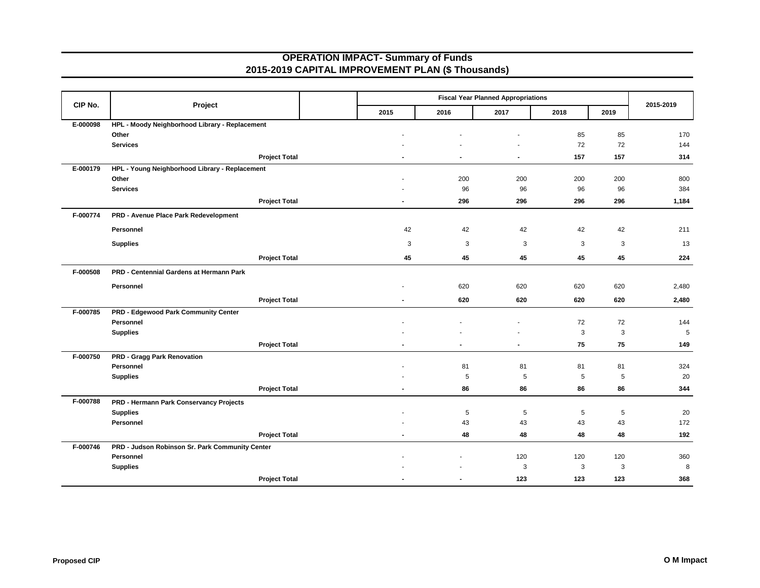### **OPERATION IMPACT- Summary of Funds 2015-2019 CAPITAL IMPROVEMENT PLAN (\$ Thousands)**

| CIP No.  | Project                                         |      |                | 2015-2019                |                |             |     |       |
|----------|-------------------------------------------------|------|----------------|--------------------------|----------------|-------------|-----|-------|
|          |                                                 | 2015 | 2016           | 2017                     | 2018           | 2019        |     |       |
| E-000098 | HPL - Moody Neighborhood Library - Replacement  |      |                |                          |                |             |     |       |
|          | Other                                           |      |                |                          |                | 85          | 85  | 170   |
|          | <b>Services</b>                                 |      |                |                          |                | 72          | 72  | 144   |
|          | <b>Project Total</b>                            |      |                | $\overline{\phantom{a}}$ | $\blacksquare$ | 157         | 157 | 314   |
| E-000179 | HPL - Young Neighborhood Library - Replacement  |      |                |                          |                |             |     |       |
|          | Other                                           |      |                | 200                      | 200            | 200         | 200 | 800   |
|          | <b>Services</b>                                 |      |                | 96                       | 96             | 96          | 96  | 384   |
|          | <b>Project Total</b>                            |      | $\blacksquare$ | 296                      | 296            | 296         | 296 | 1,184 |
| F-000774 | PRD - Avenue Place Park Redevelopment           |      |                |                          |                |             |     |       |
|          | Personnel                                       |      | 42             | 42                       | 42             | 42          | 42  | 211   |
|          | <b>Supplies</b>                                 |      | 3              | 3                        | 3              | 3           | 3   | 13    |
|          | <b>Project Total</b>                            |      | 45             | 45                       | 45             | 45          | 45  | 224   |
| F-000508 | PRD - Centennial Gardens at Hermann Park        |      |                |                          |                |             |     |       |
|          | Personnel                                       |      |                | 620                      | 620            | 620         | 620 | 2,480 |
|          | <b>Project Total</b>                            |      | $\blacksquare$ | 620                      | 620            | 620         | 620 | 2,480 |
| F-000785 | PRD - Edgewood Park Community Center            |      |                |                          |                |             |     |       |
|          | Personnel                                       |      |                |                          |                | 72          | 72  | 144   |
|          | <b>Supplies</b>                                 |      |                |                          |                | 3           | 3   | 5     |
|          | <b>Project Total</b>                            |      |                | $\blacksquare$           |                | 75          | 75  | 149   |
| F-000750 | <b>PRD - Gragg Park Renovation</b>              |      |                |                          |                |             |     |       |
|          | Personnel                                       |      |                | 81                       | 81             | 81          | 81  | 324   |
|          | <b>Supplies</b>                                 |      |                | 5                        | 5              | 5           | 5   | 20    |
|          | <b>Project Total</b>                            |      | $\blacksquare$ | 86                       | 86             | 86          | 86  | 344   |
| F-000788 | PRD - Hermann Park Conservancy Projects         |      |                |                          |                |             |     |       |
|          | <b>Supplies</b>                                 |      |                | 5                        | 5              | $\,$ 5 $\,$ | 5   | 20    |
|          | Personnel                                       |      |                | 43                       | 43             | 43          | 43  | 172   |
|          | <b>Project Total</b>                            |      | $\blacksquare$ | 48                       | 48             | 48          | 48  | 192   |
| F-000746 | PRD - Judson Robinson Sr. Park Community Center |      |                |                          |                |             |     |       |
|          | Personnel                                       |      |                |                          | 120            | 120         | 120 | 360   |
|          | <b>Supplies</b>                                 |      |                |                          | 3              | 3           | 3   | 8     |
|          | <b>Project Total</b>                            |      |                |                          | 123            | 123         | 123 | 368   |